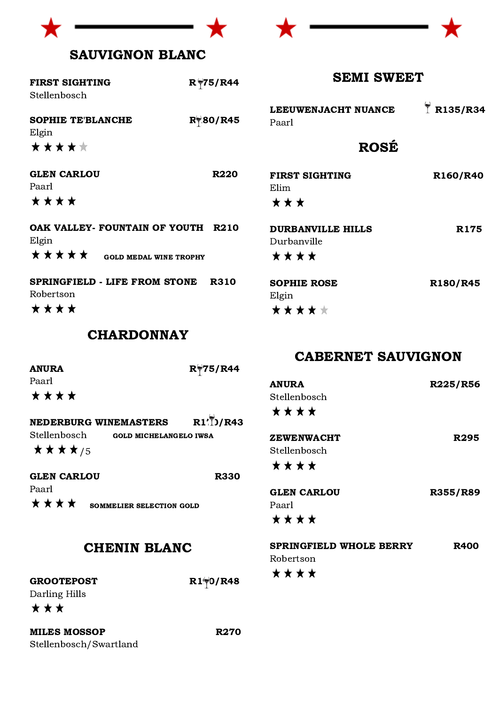



# SAUVIGNON BLANC

| <b>FIRST SIGHTING</b><br>$R$ 75/R44<br>Stellenbosch                              |                    |                                                 | <b>SEMI SWEET</b>  |  |
|----------------------------------------------------------------------------------|--------------------|-------------------------------------------------|--------------------|--|
| <b>SOPHIE TE'BLANCHE</b><br>Elgin                                                | $R \approx 80/R45$ | LEEUWENJACHT NUANCE<br>Paarl                    | $\bar{1}$ R135/R34 |  |
| *****                                                                            |                    | <b>ROSÉ</b>                                     |                    |  |
| <b>GLEN CARLOU</b><br>Paarl<br>****                                              | <b>R220</b>        | <b>FIRST SIGHTING</b><br>Elim<br>***            | R160/R40           |  |
| OAK VALLEY- FOUNTAIN OF YOUTH<br>Elgin<br>*****<br><b>GOLD MEDAL WINE TROPHY</b> | <b>R210</b>        | <b>DURBANVILLE HILLS</b><br>Durbanville<br>**** | <b>R175</b>        |  |
| <b>SPRINGFIELD - LIFE FROM STONE</b><br>Robertson<br>* * * *                     | <b>R310</b>        | <b>SOPHIE ROSE</b><br>Elgin<br>*****            | R180/R45           |  |

#### CHARDONNAY

| <b>ANURA</b> |                               | $R$ 75/R44        |
|--------------|-------------------------------|-------------------|
| Paarl        |                               |                   |
| ****         |                               |                   |
|              | <b>NEDERBURG WINEMASTERS</b>  | $R1^{1/2}$ $/R43$ |
| Stellenbosch | <b>GOLD MICHELANGELO IWSA</b> |                   |
| ★★★★/5       |                               |                   |

GLEN CARLOU R330 Paarl \*\*\*\* SOMMELIER SELECTION GOLD

# CHENIN BLANC

GROOTEPOST  $R1\overline{9}0/R48$ Darling Hills

★★★

MILES MOSSOP R270 Stellenbosch/Swartland

CABERNET SAUVIGNON

| <b>ANURA</b>                   | R225/R56        |
|--------------------------------|-----------------|
| Stellenbosch                   |                 |
| ****                           |                 |
| <b>ZEWENWACHT</b>              | R295            |
| Stellenbosch                   |                 |
| * * * *                        |                 |
| <b>GLEN CARLOU</b>             | <b>R355/R89</b> |
| Paarl                          |                 |
| ****                           |                 |
| <b>SPRINGFIELD WHOLE BERRY</b> | <b>R400</b>     |
| Robertson                      |                 |

\*\*\*\*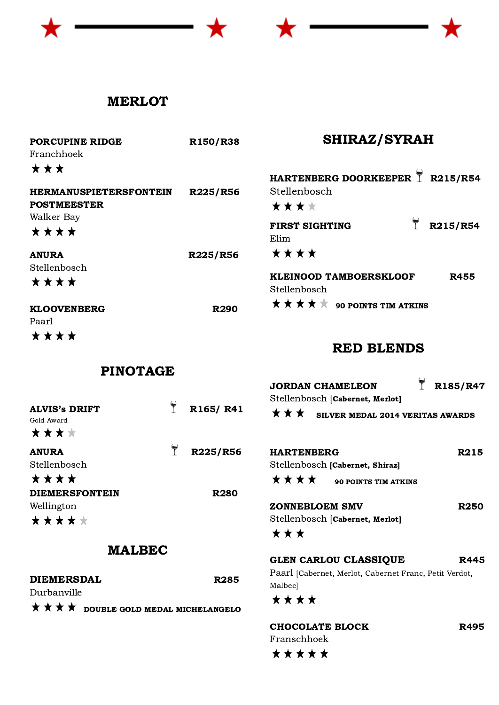# **MERLOT**

| PORCUPINE RIDGE<br>Franchhoek                                | R150/R38    | <b>SHIRAZ/SYRAH</b>                                      |             |
|--------------------------------------------------------------|-------------|----------------------------------------------------------|-------------|
| * * *<br><b>HERMANUSPIETERSFONTEIN</b><br><b>POSTMEESTER</b> | R225/R56    | HARTENBERG DOORKEEPER 1 R215/R54<br>Stellenbosch<br>**** |             |
| Walker Bay<br>****                                           |             | R215/R54<br><b>FIRST SIGHTING</b><br>Elim                |             |
| <b>ANURA</b>                                                 | R225/R56    | ****                                                     |             |
| Stellenbosch<br>****                                         |             | <b>KLEINOOD TAMBOERSKLOOF</b><br>Stellenbosch            | <b>R455</b> |
| <b>KLOOVENBERG</b><br>Paarl                                  | <b>R290</b> | *****<br><b>90 POINTS TIM ATKINS</b>                     |             |
| ****<br>R717AM 4 AR                                          |             | <b>RED BLENDS</b>                                        |             |

PINOTAGE

| <b>ALVIS's DRIFT</b><br>Gold Award<br>**** | R165/R41    | <b>JORDAN CHAMELEON</b><br>Stellenbosch [Cabernet, Merlot]<br>★★★<br>SILVER MEDAL 2014 VERITAS AWARDS | R185/R47    |
|--------------------------------------------|-------------|-------------------------------------------------------------------------------------------------------|-------------|
| <b>ANURA</b><br>Stellenbosch<br>****       | R225/R56    | <b>HARTENBERG</b><br>Stellenbosch [Cabernet, Shiraz]<br>****<br><b>90 POINTS TIM ATKINS</b>           | R215        |
| <b>DIEMERSFONTEIN</b>                      | <b>R280</b> |                                                                                                       |             |
| Wellington                                 |             | <b>ZONNEBLOEM SMV</b>                                                                                 | <b>R250</b> |
| *****                                      |             | Stellenbosch [Cabernet, Merlot]                                                                       |             |
|                                            |             | <b>* * *</b>                                                                                          |             |

Malbec]

\*\*\*\*

# MALBEC

DIEMERSDAL R285

Durbanville

 $\star \star \star \star$  double gold medal michelangelo

# CHOCOLATE BLOCK R495 Franschhoek\*\*\*\*\*

GLEN CARLOU CLASSIQUE R445 Paarl [Cabernet, Merlot, Cabernet Franc, Petit Verdot,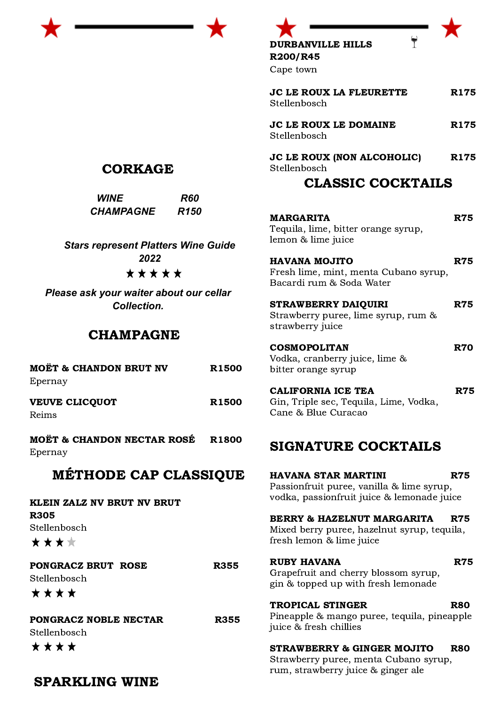

DURBANVILLE HILLS R200/R45



 $\tilde{L}$ 

Cape town

| <b>JC LE ROUX LA FLEURETTE</b><br>Stellenbosch                                             | <b>R175</b>      |
|--------------------------------------------------------------------------------------------|------------------|
| JC LE ROUX LE DOMAINE<br>Stellenbosch                                                      | R <sub>175</sub> |
| JC LE ROUX (NON ALCOHOLIC)<br>Stellenbosch<br><b>CLASSIC COCKTAILS</b>                     | <b>R175</b>      |
|                                                                                            |                  |
| <b>MARGARITA</b><br>Tequila, lime, bitter orange syrup,<br>lemon & lime juice              | <b>R75</b>       |
| <b>HAVANA MOJITO</b><br>Fresh lime, mint, menta Cubano syrup,<br>Bacardi rum & Soda Water  | <b>R75</b>       |
| <b>STRAWBERRY DAIQUIRI</b><br>Strawberry puree, lime syrup, rum &<br>strawberry juice      | <b>R75</b>       |
| <b>COSMOPOLITAN</b><br>Vodka, cranberry juice, lime &<br>bitter orange syrup               | <b>R70</b>       |
| <b>CALIFORNIA ICE TEA</b><br>Gin, Triple sec, Tequila, Lime, Vodka,<br>Cane & Blue Curacao | <b>R75</b>       |

# SIGNATURE COCKTAILS

| HAVANA STAR MARTINI<br>R75<br>Passionfruit puree, vanilla & lime syrup,<br>vodka, passionfruit juice & lemonade juice |
|-----------------------------------------------------------------------------------------------------------------------|
| BERRY & HAZELNUT MARGARITA<br>R75<br>Mixed berry puree, hazelnut syrup, tequila,<br>fresh lemon & lime juice          |
| RUBY HAVANA<br>R75<br>Grapefruit and cherry blossom syrup,<br>gin & topped up with fresh lemonade                     |
| TROPICAL STINGER<br>R80<br>Pineapple & mango puree, tequila, pineapple<br>juice & fresh chillies                      |
| STRAWBERRY & GINGER MOJITO<br>R80<br>Strawberry puree, menta Cubano syrup,                                            |

rum, strawberry juice & ginger ale

CORKAGE

*WINE R60 CHAMPAGNE R150*

*Stars represent Platters Wine Guide 2022* \*\*\*\*\*

*Please ask your waiter about our cellar Collection.*

# CHAMPAGNE

| <b>MOËT &amp; CHANDON BRUT NV</b><br>Epernay                      | <b>R1500</b> |
|-------------------------------------------------------------------|--------------|
| <b>VEUVE CLICQUOT</b><br>Reims                                    | <b>R1500</b> |
| MOËT & CHANDON NECTAR ROSÉ R1800<br>Epernay                       |              |
| MÉTHODE CAP CLASSIQUE                                             |              |
| KLEIN ZALZ NV BRUT NV BRUT<br><b>R305</b><br>Stellenbosch<br>**** |              |
| PONGRACZ BRUT ROSE<br>Stellenbosch<br>****                        | <b>R355</b>  |
| PONGRACZ NOBLE NECTAR<br>Stellenbosch<br>****                     | <b>R355</b>  |

# SPARKLING WINE